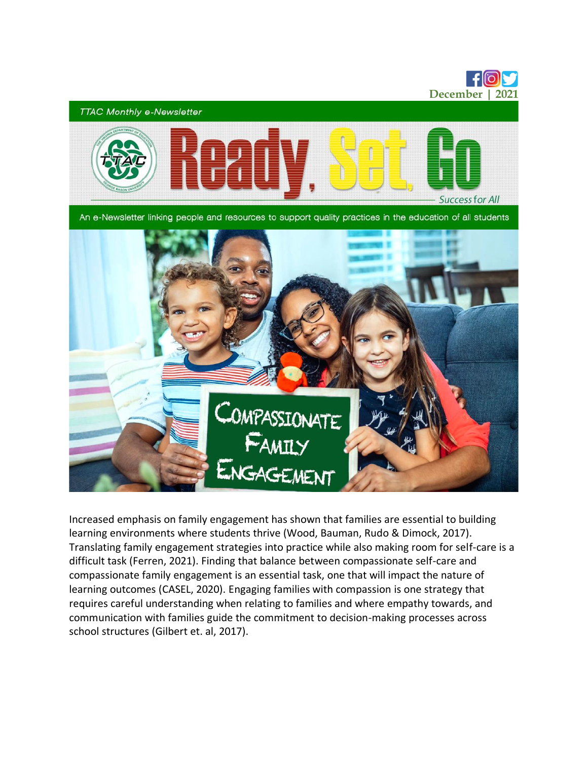

Increased emphasis on family engagement has shown that families are essential to building learning environments where students thrive (Wood, Bauman, Rudo & Dimock, 2017). Translating family engagement strategies into practice while also making room for self-care is a difficult task (Ferren, 2021). Finding that balance between compassionate self-care and compassionate family engagement is an essential task, one that will impact the nature of learning outcomes (CASEL, 2020). Engaging families with compassion is one strategy that requires careful understanding when relating to families and where empathy towards, and communication with families guide the commitment to decision-making processes across school structures (Gilbert et. al, 2017).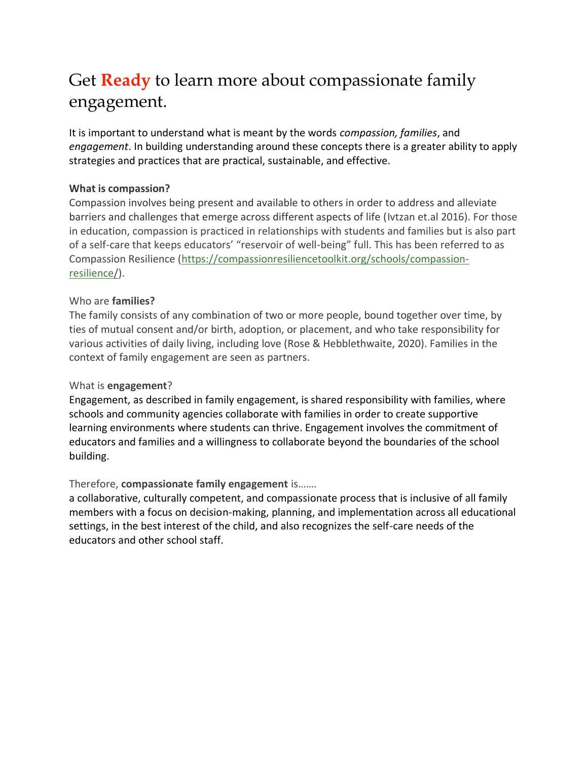# Get **Ready** to learn more about compassionate family engagement.

It is important to understand what is meant by the words *compassion, families*, and *engagement*. In building understanding around these concepts there is a greater ability to apply strategies and practices that are practical, sustainable, and effective.

### **What is compassion?**

Compassion involves being present and available to others in order to address and alleviate barriers and challenges that emerge across different aspects of life (Ivtzan et.al 2016). For those in education, compassion is practiced in relationships with students and families but is also part of a self-care that keeps educators' "reservoir of well-being" full. This has been referred to as Compassion Resilience [\(https://compassionresiliencetoolkit.org/schools/compassion](https://compassionresiliencetoolkit.org/schools/compassion-resilience/)[resilience/\)](https://compassionresiliencetoolkit.org/schools/compassion-resilience/).

### Who are **families?**

The family consists of any combination of two or more people, bound together over time, by ties of mutual consent and/or birth, adoption, or placement, and who take responsibility for various activities of daily living, including love (Rose & Hebblethwaite, 2020). Families in the context of family engagement are seen as partners.

#### What is **engagement**?

Engagement, as described in family engagement, is shared responsibility with families, where schools and community agencies collaborate with families in order to create supportive learning environments where students can thrive. Engagement involves the commitment of educators and families and a willingness to collaborate beyond the boundaries of the school building.

#### Therefore, **compassionate family engagement** is…….

a collaborative, culturally competent, and compassionate process that is inclusive of all family members with a focus on decision-making, planning, and implementation across all educational settings, in the best interest of the child, and also recognizes the self-care needs of the educators and other school staff.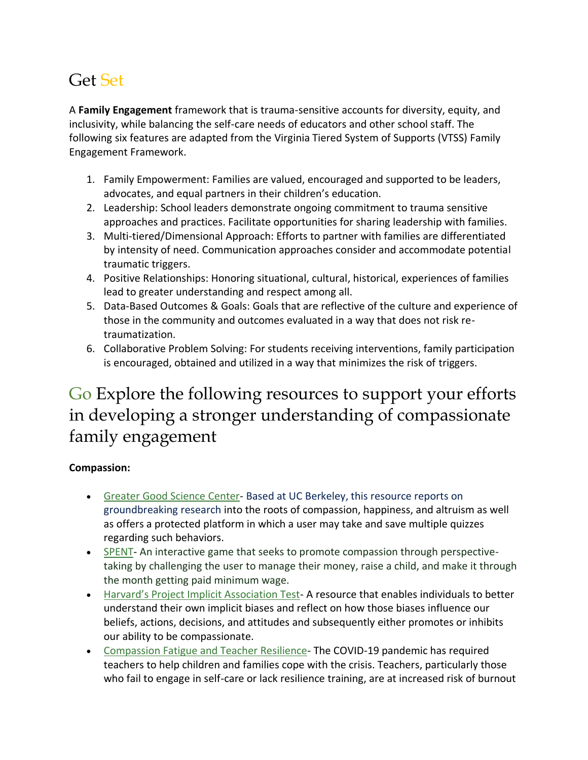## Get Set

A **Family Engagement** framework that is trauma-sensitive accounts for diversity, equity, and inclusivity, while balancing the self-care needs of educators and other school staff. The following six features are adapted from the Virginia Tiered System of Supports (VTSS) Family Engagement Framework.

- 1. Family Empowerment: Families are valued, encouraged and supported to be leaders, advocates, and equal partners in their children's education.
- 2. Leadership: School leaders demonstrate ongoing commitment to trauma sensitive approaches and practices. Facilitate opportunities for sharing leadership with families.
- 3. Multi-tiered/Dimensional Approach: Efforts to partner with families are differentiated by intensity of need. Communication approaches consider and accommodate potential traumatic triggers.
- 4. Positive Relationships: Honoring situational, cultural, historical, experiences of families lead to greater understanding and respect among all.
- 5. Data-Based Outcomes & Goals: Goals that are reflective of the culture and experience of those in the community and outcomes evaluated in a way that does not risk retraumatization.
- 6. Collaborative Problem Solving: For students receiving interventions, family participation is encouraged, obtained and utilized in a way that minimizes the risk of triggers.

### Go Explore the following resources to support your efforts in developing a stronger understanding of compassionate family engagement

### **Compassion:**

- [Greater Good Science Center-](https://greatergood.berkeley.edu/quizzes) Based at UC Berkeley, this resource reports on groundbreaking research into the roots of compassion, happiness, and altruism as well as offers a protected platform in which a user may take and save multiple quizzes regarding such behaviors.
- [SPENT-](http://playspent.org/) An interactive game that seeks to promote compassion through perspectivetaking by challenging the user to manage their money, raise a child, and make it through the month getting paid minimum wage.
- [Harvard's Project Implicit Association Test](https://implicit.harvard.edu/implicit/selectatest.html) A resource that enables individuals to better understand their own implicit biases and reflect on how those biases influence our beliefs, actions, decisions, and attitudes and subsequently either promotes or inhibits our ability to be compassionate.
- [Compassion Fatigue and Teacher Resilience-](https://fs.hubspotusercontent00.net/hubfs/3409306/Compassion-Fatigue-and-Teacher-Resilience.pdf?utm_campaign=k12-weekly-roundup&utm_medium=email&_hsmi=172683106&_hsenc=p2ANqtz-8xHcp9N7lvy9znoFjMrO8duvgP1H3h5ajIU8YL2R84UuJdQldCUKsnvjoyneBpMXDTtKPG8tAyVu3EfBGwtis8-p85kQ&utm_content=172683106&utm_source=hs_email) The COVID-19 pandemic has required teachers to help children and families cope with the crisis. Teachers, particularly those who fail to engage in self-care or lack resilience training, are at increased risk of burnout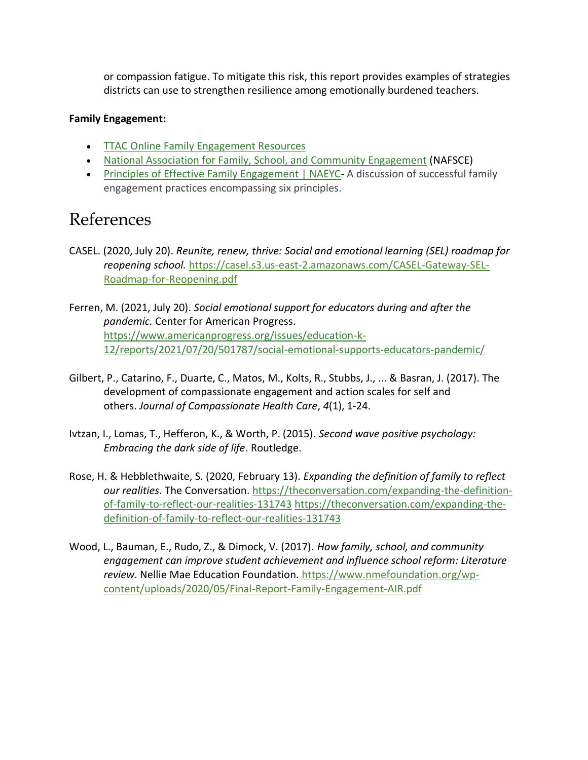or compassion fatigue. To mitigate this risk, this report provides examples of strategies districts can use to strengthen resilience among emotionally burdened teachers.

#### **Family Engagement:**

- **[TTAC Online Family Engagement Resources](https://ttaconline.org/professional-resources-family-partnerships)**
- [National Association for Family, School, and Community Engagement](https://nafsce.org/) (NAFSCE)
- Principles of [Effective Family Engagement | NAEYC-](https://www.naeyc.org/resources/topics/family-engagement/principles) A discussion of successful family engagement practices encompassing six principles.

### References

- CASEL. (2020, July 20). *Reunite, renew, thrive: Social and emotional learning (SEL) roadmap for reopening school.* [https://casel.s3.us-east-2.amazonaws.com/CASEL-Gateway-SEL-](https://casel.s3.us-east-2.amazonaws.com/CASEL-Gateway-SEL-Roadmap-for-Reopening.pdf)[Roadmap-for-Reopening.pdf](https://casel.s3.us-east-2.amazonaws.com/CASEL-Gateway-SEL-Roadmap-for-Reopening.pdf)
- Ferren, M. (2021, July 20). *Social emotional support for educators during and after the pandemic.* Center for American Progress. [https://www.americanprogress.org/issues/education-k-](https://www.americanprogress.org/issues/education-k-12/reports/2021/07/20/501787/social-emotional-supports-educators-pandemic/)[12/reports/2021/07/20/501787/social-emotional-supports-educators-pandemic/](https://www.americanprogress.org/issues/education-k-12/reports/2021/07/20/501787/social-emotional-supports-educators-pandemic/)
- Gilbert, P., Catarino, F., Duarte, C., Matos, M., Kolts, R., Stubbs, J., ... & Basran, J. (2017). The development of compassionate engagement and action scales for self and others. *Journal of Compassionate Health Care*, *4*(1), 1-24.
- Ivtzan, I., Lomas, T., Hefferon, K., & Worth, P. (2015). *Second wave positive psychology: Embracing the dark side of life*. Routledge.
- Rose, H. & Hebblethwaite, S. (2020, February 13). *Expanding the definition of family to reflect our realities.* The Conversation[. https://theconversation.com/expanding-the-definition](https://theconversation.com/expanding-the-definition-of-family-to-reflect-our-realities-131743)[of-family-to-reflect-our-realities-131743](https://theconversation.com/expanding-the-definition-of-family-to-reflect-our-realities-131743) [https://theconversation.com/expanding-the](https://theconversation.com/expanding-the-definition-of-family-to-reflect-our-realities-131743)[definition-of-family-to-reflect-our-realities-131743](https://theconversation.com/expanding-the-definition-of-family-to-reflect-our-realities-131743)
- Wood, L., Bauman, E., Rudo, Z., & Dimock, V. (2017). *How family, school, and community engagement can improve student achievement and influence school reform: Literature review*. Nellie Mae Education Foundation. [https://www.nmefoundation.org/wp](https://www.nmefoundation.org/wp-content/uploads/2020/05/Final-Report-Family-Engagement-AIR.pdf)[content/uploads/2020/05/Final-Report-Family-Engagement-AIR.pdf](https://www.nmefoundation.org/wp-content/uploads/2020/05/Final-Report-Family-Engagement-AIR.pdf)